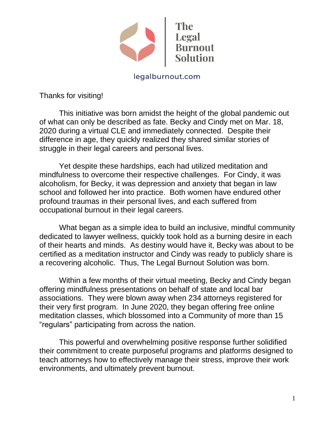

legalburnout.com

Thanks for visiting!

This initiative was born amidst the height of the global pandemic out of what can only be described as fate. Becky and Cindy met on Mar. 18, 2020 during a virtual CLE and immediately connected. Despite their difference in age, they quickly realized they shared similar stories of struggle in their legal careers and personal lives.

Yet despite these hardships, each had utilized meditation and mindfulness to overcome their respective challenges. For Cindy, it was alcoholism, for Becky, it was depression and anxiety that began in law school and followed her into practice. Both women have endured other profound traumas in their personal lives, and each suffered from occupational burnout in their legal careers.

What began as a simple idea to build an inclusive, mindful community dedicated to lawyer wellness, quickly took hold as a burning desire in each of their hearts and minds. As destiny would have it, Becky was about to be certified as a meditation instructor and Cindy was ready to publicly share is a recovering alcoholic. Thus, The Legal Burnout Solution was born.

Within a few months of their virtual meeting, Becky and Cindy began offering mindfulness presentations on behalf of state and local bar associations. They were blown away when 234 attorneys registered for their very first program. In June 2020, they began offering free online meditation classes, which blossomed into a Community of more than 15 "regulars" participating from across the nation.

This powerful and overwhelming positive response further solidified their commitment to create purposeful programs and platforms designed to teach attorneys how to effectively manage their stress, improve their work environments, and ultimately prevent burnout.